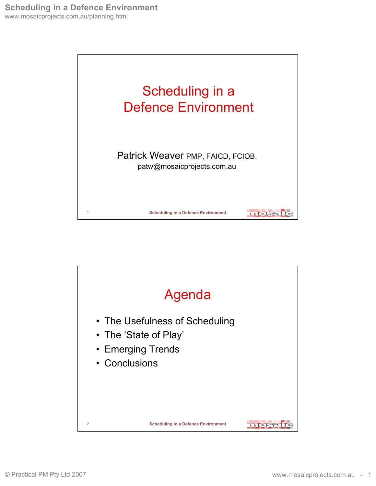

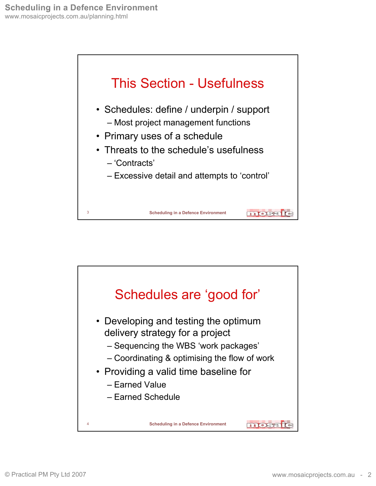

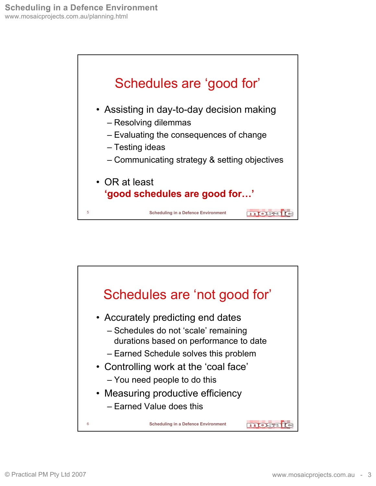

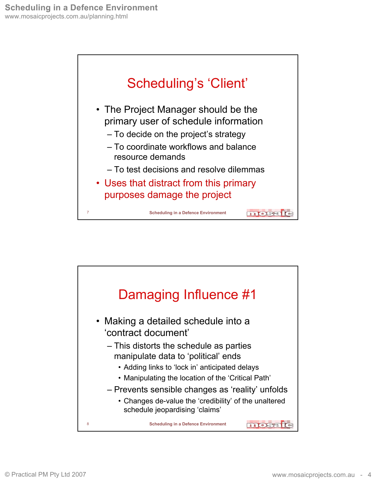

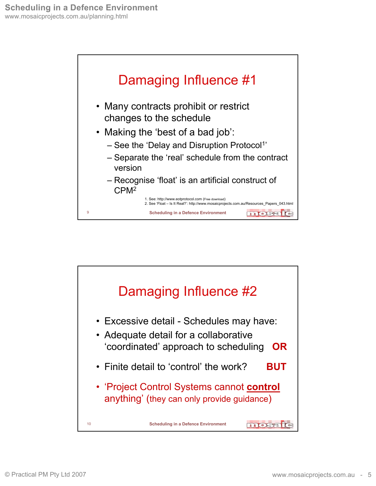

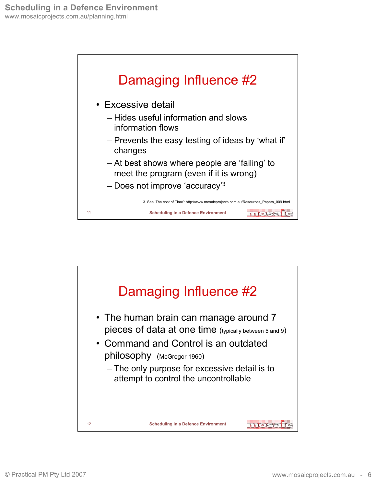

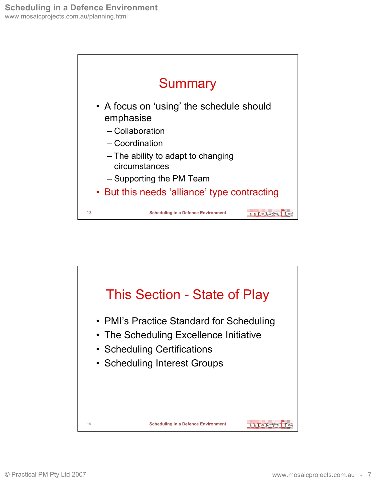

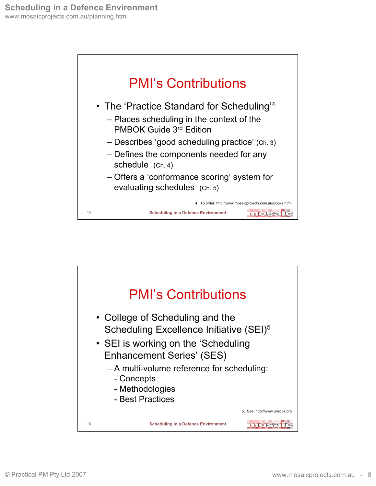

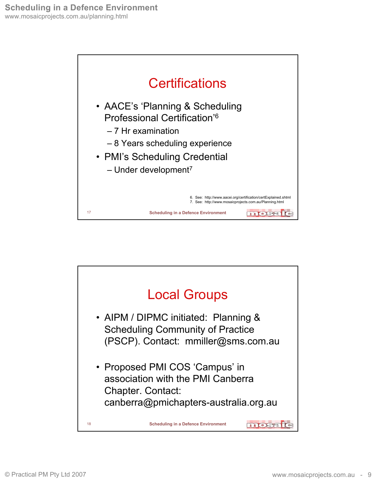

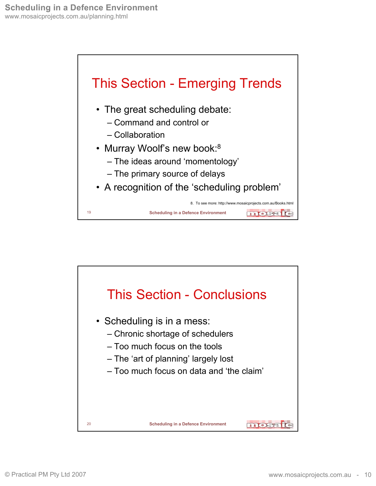

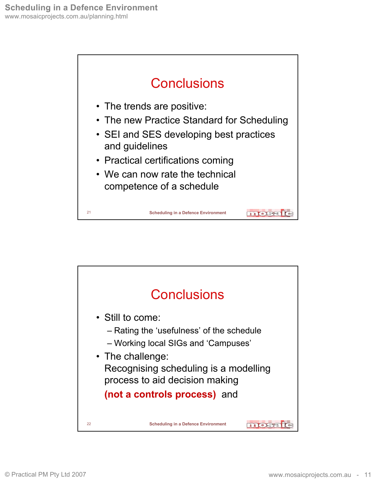